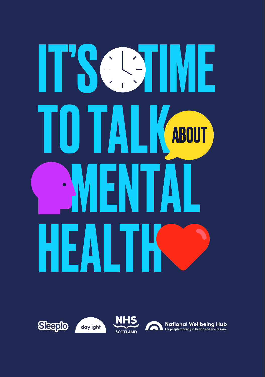# IT'S SIME TO TALK MENTAL HEALTH ABOUT

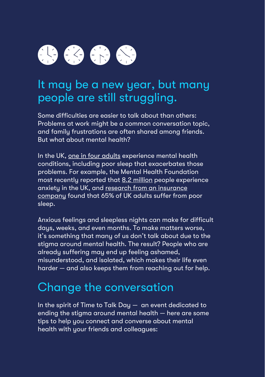# $\bigoplus$   $\bigoplus$   $\bigoplus$   $\bigoplus$

## It may be a new year, but many people are still struggling.

Some difficulties are easier to talk about than others: Problems at work might be a common conversation topic, and family frustrations are often shared among friends. But what about mental health?

In the UK[, one in four adults e](https://www.england.nhs.uk/mental-health/)xperience mental health conditions, including poor sleep that exacerbates those problems. For example, the Mental Health Foundation most recently reported that [8.2 million p](https://www.mentalhealth.org.uk/statistics/mental-health-statistics-anxiety)eople experience anxiety in the UK, and [research from an insurance](https://www.aviva.com/newsroom/news-releases/2017/10/Sleepless-cities-revealed-as-one-in-three-adults-suffer-from-insomnia/)  <u>company</u> found that 65% of UK adults suffer from poor sleep.

Anxious feelings and sleepless nights can make for difficult days, weeks, and even months. To make matters worse, it's something that many of us don't talk about due to the stigma around mental health. The result? People who are already suffering may end up feeling ashamed, misunderstood, and isolated, which makes their life even harder — and also keeps them from reaching out for help.

# Change the conversation

In the spirit of Time to Talk Day — an event dedicated to ending the stigma around mental health — here are some tips to help you connect and converse about mental health with your friends and colleagues: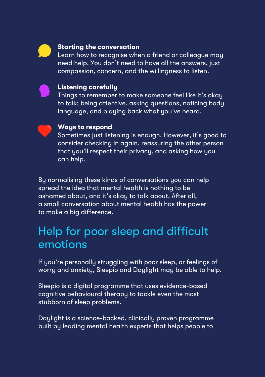

#### **Starting the conversation**

Learn how to recognise when a friend or colleague may need help. You don't need to have all the answers, just compassion, concern, and the willingness to listen.



#### **Listening carefully**

Things to remember to make someone feel like it's okay to talk; being attentive, asking questions, noticing body language, and playing back what you've heard.



#### **Ways to respond**

Sometimes just listening is enough. However, it's good to consider checking in again, reassuring the other person that you'll respect their privacy, and asking how you can help.

By normalising these kinds of conversations you can help spread the idea that mental health is nothing to be ashamed about, and it's okay to talk about. After all, a small conversation about mental health has the power to make a big difference.

### Help for poor sleep and difficult emotions

If you're personally struggling with poor sleep, or feelings of worry and anxiety, Sleepio and Daylight may be able to help.

[Sleepio i](https://www.sleepio.com/nhs)s a digital programme that uses evidence-based cognitive behavioural therapy to tackle even the most stubborn of sleep problems.

[Daylight](https://www.trydaylight.com/nhs) is a science-backed, clinically proven programme built by leading mental health experts that helps people to